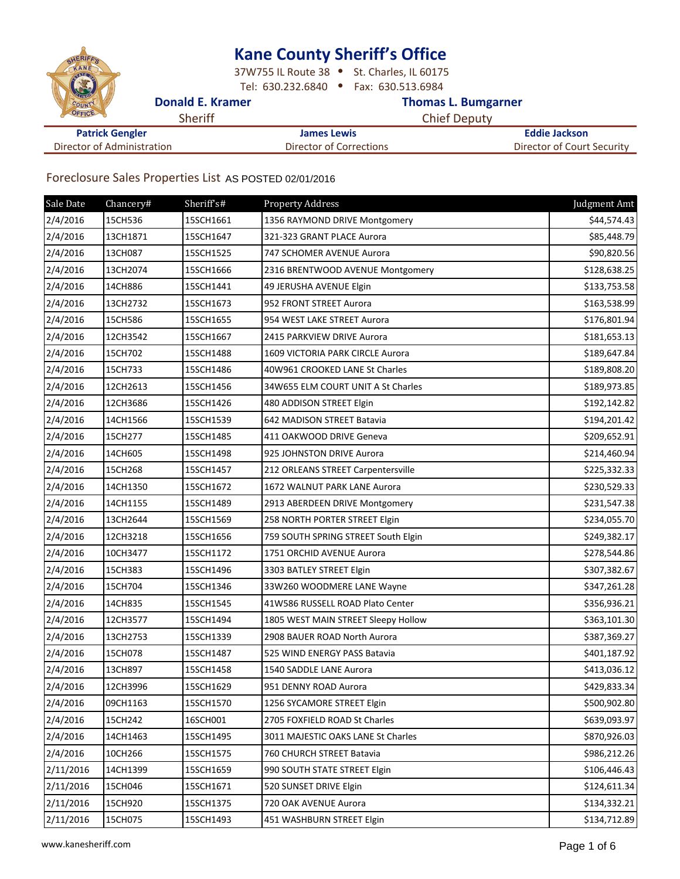## **Kane County Sheriff͛s Office**

37W755 IL Route 38 . St. Charles, IL 60175 Tel: 630.232.6840 . Fax: 630.513.6984

## **Donald E. Kramer Community Community Community Community Community Community Community Community Community Community Community Community Community Community Community Community Community Community Community Community Comm**

| CFFICE                     | Sheriff | <b>Chief Deputy</b>                                   |  |
|----------------------------|---------|-------------------------------------------------------|--|
| <b>Patrick Gengler</b>     |         | Eddie Jackson<br><b>James Lewis</b>                   |  |
| Director of Administration |         | Director of Court Security<br>Director of Corrections |  |

## Foreclosure Sales Properties List AS POSTED 02/01/2016

| Sale Date | Chancery# | Sheriff <sub>s#</sub> | <b>Property Address</b>             | Judgment Amt |
|-----------|-----------|-----------------------|-------------------------------------|--------------|
| 2/4/2016  | 15CH536   | 15SCH1661             | 1356 RAYMOND DRIVE Montgomery       | \$44,574.43  |
| 2/4/2016  | 13CH1871  | 15SCH1647             | 321-323 GRANT PLACE Aurora          | \$85,448.79  |
| 2/4/2016  | 13CH087   | 15SCH1525             | 747 SCHOMER AVENUE Aurora           | \$90,820.56  |
| 2/4/2016  | 13CH2074  | 15SCH1666             | 2316 BRENTWOOD AVENUE Montgomery    | \$128,638.25 |
| 2/4/2016  | 14CH886   | 15SCH1441             | 49 JERUSHA AVENUE Elgin             | \$133,753.58 |
| 2/4/2016  | 13CH2732  | 15SCH1673             | 952 FRONT STREET Aurora             | \$163,538.99 |
| 2/4/2016  | 15CH586   | 15SCH1655             | 954 WEST LAKE STREET Aurora         | \$176,801.94 |
| 2/4/2016  | 12CH3542  | 15SCH1667             | 2415 PARKVIEW DRIVE Aurora          | \$181,653.13 |
| 2/4/2016  | 15CH702   | 15SCH1488             | 1609 VICTORIA PARK CIRCLE Aurora    | \$189,647.84 |
| 2/4/2016  | 15CH733   | 15SCH1486             | 40W961 CROOKED LANE St Charles      | \$189,808.20 |
| 2/4/2016  | 12CH2613  | 15SCH1456             | 34W655 ELM COURT UNIT A St Charles  | \$189,973.85 |
| 2/4/2016  | 12CH3686  | 15SCH1426             | 480 ADDISON STREET Elgin            | \$192,142.82 |
| 2/4/2016  | 14CH1566  | 15SCH1539             | 642 MADISON STREET Batavia          | \$194,201.42 |
| 2/4/2016  | 15CH277   | 15SCH1485             | 411 OAKWOOD DRIVE Geneva            | \$209,652.91 |
| 2/4/2016  | 14CH605   | 15SCH1498             | 925 JOHNSTON DRIVE Aurora           | \$214,460.94 |
| 2/4/2016  | 15CH268   | 15SCH1457             | 212 ORLEANS STREET Carpentersville  | \$225,332.33 |
| 2/4/2016  | 14CH1350  | 15SCH1672             | 1672 WALNUT PARK LANE Aurora        | \$230,529.33 |
| 2/4/2016  | 14CH1155  | 15SCH1489             | 2913 ABERDEEN DRIVE Montgomery      | \$231,547.38 |
| 2/4/2016  | 13CH2644  | 15SCH1569             | 258 NORTH PORTER STREET Elgin       | \$234,055.70 |
| 2/4/2016  | 12CH3218  | 15SCH1656             | 759 SOUTH SPRING STREET South Elgin | \$249,382.17 |
| 2/4/2016  | 10CH3477  | 15SCH1172             | 1751 ORCHID AVENUE Aurora           | \$278,544.86 |
| 2/4/2016  | 15CH383   | 15SCH1496             | 3303 BATLEY STREET Elgin            | \$307,382.67 |
| 2/4/2016  | 15CH704   | 15SCH1346             | 33W260 WOODMERE LANE Wayne          | \$347,261.28 |
| 2/4/2016  | 14CH835   | 15SCH1545             | 41W586 RUSSELL ROAD Plato Center    | \$356,936.21 |
| 2/4/2016  | 12CH3577  | 15SCH1494             | 1805 WEST MAIN STREET Sleepy Hollow | \$363,101.30 |
| 2/4/2016  | 13CH2753  | 15SCH1339             | 2908 BAUER ROAD North Aurora        | \$387,369.27 |
| 2/4/2016  | 15CH078   | 15SCH1487             | 525 WIND ENERGY PASS Batavia        | \$401,187.92 |
| 2/4/2016  | 13CH897   | 15SCH1458             | 1540 SADDLE LANE Aurora             | \$413,036.12 |
| 2/4/2016  | 12CH3996  | 15SCH1629             | 951 DENNY ROAD Aurora               | \$429,833.34 |
| 2/4/2016  | 09CH1163  | 15SCH1570             | 1256 SYCAMORE STREET Elgin          | \$500,902.80 |
| 2/4/2016  | 15CH242   | 16SCH001              | 2705 FOXFIELD ROAD St Charles       | \$639,093.97 |
| 2/4/2016  | 14CH1463  | 15SCH1495             | 3011 MAJESTIC OAKS LANE St Charles  | \$870,926.03 |
| 2/4/2016  | 10CH266   | 15SCH1575             | 760 CHURCH STREET Batavia           | \$986,212.26 |
| 2/11/2016 | 14CH1399  | 15SCH1659             | 990 SOUTH STATE STREET Elgin        | \$106,446.43 |
| 2/11/2016 | 15CH046   | 15SCH1671             | 520 SUNSET DRIVE Elgin              | \$124,611.34 |
| 2/11/2016 | 15CH920   | 15SCH1375             | 720 OAK AVENUE Aurora               | \$134,332.21 |
| 2/11/2016 | 15CH075   | 15SCH1493             | 451 WASHBURN STREET Elgin           | \$134,712.89 |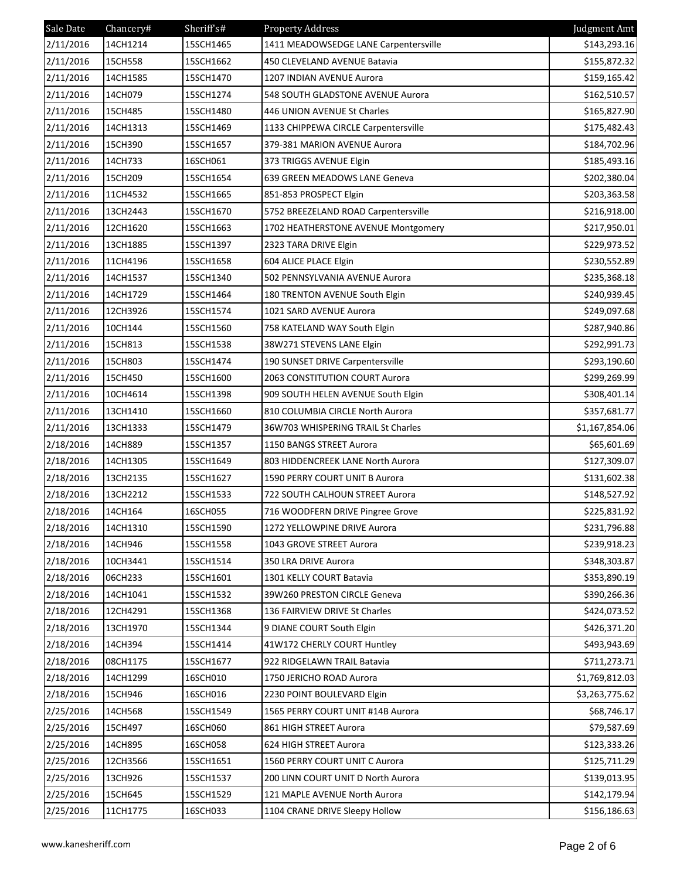| Sale Date | Chancery# | Sheriff's# | <b>Property Address</b>               | Judgment Amt   |
|-----------|-----------|------------|---------------------------------------|----------------|
| 2/11/2016 | 14CH1214  | 15SCH1465  | 1411 MEADOWSEDGE LANE Carpentersville | \$143,293.16   |
| 2/11/2016 | 15CH558   | 15SCH1662  | 450 CLEVELAND AVENUE Batavia          | \$155,872.32   |
| 2/11/2016 | 14CH1585  | 15SCH1470  | 1207 INDIAN AVENUE Aurora             | \$159,165.42   |
| 2/11/2016 | 14CH079   | 15SCH1274  | 548 SOUTH GLADSTONE AVENUE Aurora     | \$162,510.57   |
| 2/11/2016 | 15CH485   | 15SCH1480  | 446 UNION AVENUE St Charles           | \$165,827.90   |
| 2/11/2016 | 14CH1313  | 15SCH1469  | 1133 CHIPPEWA CIRCLE Carpentersville  | \$175,482.43   |
| 2/11/2016 | 15CH390   | 15SCH1657  | 379-381 MARION AVENUE Aurora          | \$184,702.96   |
| 2/11/2016 | 14CH733   | 16SCH061   | 373 TRIGGS AVENUE Elgin               | \$185,493.16   |
| 2/11/2016 | 15CH209   | 15SCH1654  | 639 GREEN MEADOWS LANE Geneva         | \$202,380.04   |
| 2/11/2016 | 11CH4532  | 15SCH1665  | 851-853 PROSPECT Elgin                | \$203,363.58   |
| 2/11/2016 | 13CH2443  | 15SCH1670  | 5752 BREEZELAND ROAD Carpentersville  | \$216,918.00   |
| 2/11/2016 | 12CH1620  | 15SCH1663  | 1702 HEATHERSTONE AVENUE Montgomery   | \$217,950.01   |
| 2/11/2016 | 13CH1885  | 15SCH1397  | 2323 TARA DRIVE Elgin                 | \$229,973.52   |
| 2/11/2016 | 11CH4196  | 15SCH1658  | 604 ALICE PLACE Elgin                 | \$230,552.89   |
| 2/11/2016 | 14CH1537  | 15SCH1340  | 502 PENNSYLVANIA AVENUE Aurora        | \$235,368.18   |
| 2/11/2016 | 14CH1729  | 15SCH1464  | 180 TRENTON AVENUE South Elgin        | \$240,939.45   |
| 2/11/2016 | 12CH3926  | 15SCH1574  | 1021 SARD AVENUE Aurora               | \$249,097.68   |
| 2/11/2016 | 10CH144   | 15SCH1560  | 758 KATELAND WAY South Elgin          | \$287,940.86   |
| 2/11/2016 | 15CH813   | 15SCH1538  | 38W271 STEVENS LANE Elgin             | \$292,991.73   |
| 2/11/2016 | 15CH803   | 15SCH1474  | 190 SUNSET DRIVE Carpentersville      | \$293,190.60   |
| 2/11/2016 | 15CH450   | 15SCH1600  | 2063 CONSTITUTION COURT Aurora        | \$299,269.99   |
| 2/11/2016 | 10CH4614  | 15SCH1398  | 909 SOUTH HELEN AVENUE South Elgin    | \$308,401.14   |
| 2/11/2016 | 13CH1410  | 15SCH1660  | 810 COLUMBIA CIRCLE North Aurora      | \$357,681.77   |
| 2/11/2016 | 13CH1333  | 15SCH1479  | 36W703 WHISPERING TRAIL St Charles    | \$1,167,854.06 |
| 2/18/2016 | 14CH889   | 15SCH1357  | 1150 BANGS STREET Aurora              | \$65,601.69    |
| 2/18/2016 | 14CH1305  | 15SCH1649  | 803 HIDDENCREEK LANE North Aurora     | \$127,309.07   |
| 2/18/2016 | 13CH2135  | 15SCH1627  | 1590 PERRY COURT UNIT B Aurora        | \$131,602.38   |
| 2/18/2016 | 13CH2212  | 15SCH1533  | 722 SOUTH CALHOUN STREET Aurora       | \$148,527.92   |
| 2/18/2016 | 14CH164   | 16SCH055   | 716 WOODFERN DRIVE Pingree Grove      | \$225,831.92   |
| 2/18/2016 | 14CH1310  | 15SCH1590  | 1272 YELLOWPINE DRIVE Aurora          | \$231,796.88   |
| 2/18/2016 | 14CH946   | 15SCH1558  | 1043 GROVE STREET Aurora              | \$239,918.23   |
| 2/18/2016 | 10CH3441  | 15SCH1514  | 350 LRA DRIVE Aurora                  | \$348,303.87   |
| 2/18/2016 | 06CH233   | 15SCH1601  | 1301 KELLY COURT Batavia              | \$353,890.19   |
| 2/18/2016 | 14CH1041  | 15SCH1532  | 39W260 PRESTON CIRCLE Geneva          | \$390,266.36   |
| 2/18/2016 | 12CH4291  | 15SCH1368  | 136 FAIRVIEW DRIVE St Charles         | \$424,073.52   |
| 2/18/2016 | 13CH1970  | 15SCH1344  | 9 DIANE COURT South Elgin             | \$426,371.20   |
| 2/18/2016 | 14CH394   | 15SCH1414  | 41W172 CHERLY COURT Huntley           | \$493,943.69   |
| 2/18/2016 | 08CH1175  | 15SCH1677  | 922 RIDGELAWN TRAIL Batavia           | \$711,273.71   |
| 2/18/2016 | 14CH1299  | 16SCH010   | 1750 JERICHO ROAD Aurora              | \$1,769,812.03 |
| 2/18/2016 | 15CH946   | 16SCH016   | 2230 POINT BOULEVARD Elgin            | \$3,263,775.62 |
| 2/25/2016 | 14CH568   | 15SCH1549  | 1565 PERRY COURT UNIT #14B Aurora     | \$68,746.17    |
| 2/25/2016 | 15CH497   | 16SCH060   | 861 HIGH STREET Aurora                | \$79,587.69    |
| 2/25/2016 | 14CH895   | 16SCH058   | 624 HIGH STREET Aurora                | \$123,333.26   |
| 2/25/2016 | 12CH3566  | 15SCH1651  | 1560 PERRY COURT UNIT C Aurora        | \$125,711.29   |
| 2/25/2016 | 13CH926   | 15SCH1537  | 200 LINN COURT UNIT D North Aurora    | \$139,013.95   |
| 2/25/2016 | 15CH645   | 15SCH1529  | 121 MAPLE AVENUE North Aurora         | \$142,179.94   |
| 2/25/2016 | 11CH1775  | 16SCH033   | 1104 CRANE DRIVE Sleepy Hollow        | \$156,186.63   |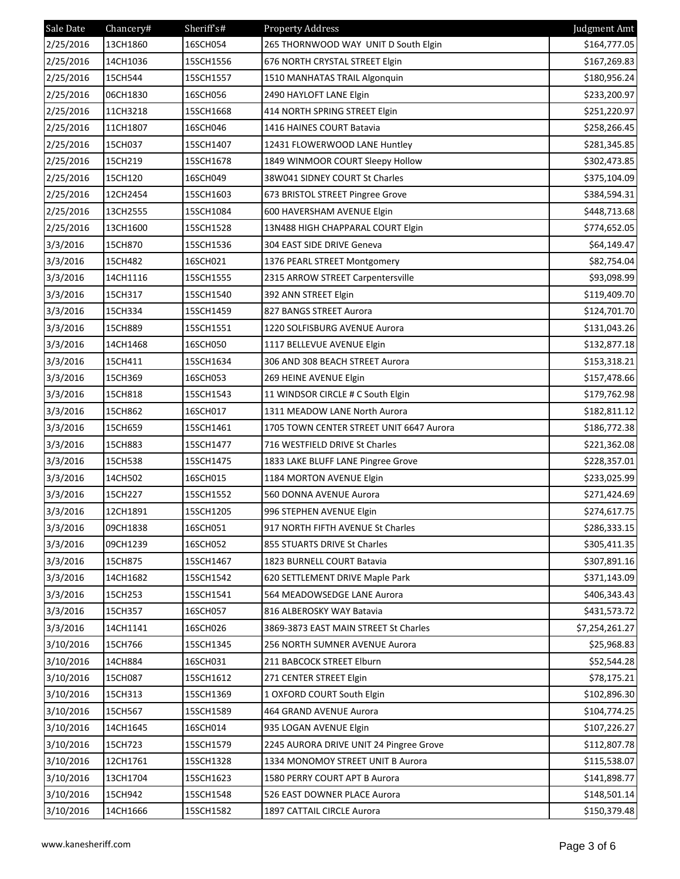| Sale Date | Chancery# | Sheriff's# | <b>Property Address</b>                  | Judgment Amt   |
|-----------|-----------|------------|------------------------------------------|----------------|
| 2/25/2016 | 13CH1860  | 16SCH054   | 265 THORNWOOD WAY UNIT D South Elgin     | \$164,777.05   |
| 2/25/2016 | 14CH1036  | 15SCH1556  | 676 NORTH CRYSTAL STREET Elgin           | \$167,269.83   |
| 2/25/2016 | 15CH544   | 15SCH1557  | 1510 MANHATAS TRAIL Algonquin            | \$180,956.24   |
| 2/25/2016 | 06CH1830  | 16SCH056   | 2490 HAYLOFT LANE Elgin                  | \$233,200.97   |
| 2/25/2016 | 11CH3218  | 15SCH1668  | 414 NORTH SPRING STREET Elgin            | \$251,220.97   |
| 2/25/2016 | 11CH1807  | 16SCH046   | 1416 HAINES COURT Batavia                | \$258,266.45   |
| 2/25/2016 | 15CH037   | 15SCH1407  | 12431 FLOWERWOOD LANE Huntley            | \$281,345.85   |
| 2/25/2016 | 15CH219   | 15SCH1678  | 1849 WINMOOR COURT Sleepy Hollow         | \$302,473.85   |
| 2/25/2016 | 15CH120   | 16SCH049   | 38W041 SIDNEY COURT St Charles           | \$375,104.09   |
| 2/25/2016 | 12CH2454  | 15SCH1603  | 673 BRISTOL STREET Pingree Grove         | \$384,594.31   |
| 2/25/2016 | 13CH2555  | 15SCH1084  | 600 HAVERSHAM AVENUE Elgin               | \$448,713.68   |
| 2/25/2016 | 13CH1600  | 15SCH1528  | 13N488 HIGH CHAPPARAL COURT Elgin        | \$774,652.05   |
| 3/3/2016  | 15CH870   | 15SCH1536  | 304 EAST SIDE DRIVE Geneva               | \$64,149.47    |
| 3/3/2016  | 15CH482   | 16SCH021   | 1376 PEARL STREET Montgomery             | \$82,754.04    |
| 3/3/2016  | 14CH1116  | 15SCH1555  | 2315 ARROW STREET Carpentersville        | \$93,098.99    |
| 3/3/2016  | 15CH317   | 15SCH1540  | 392 ANN STREET Elgin                     | \$119,409.70   |
| 3/3/2016  | 15CH334   | 15SCH1459  | 827 BANGS STREET Aurora                  | \$124,701.70   |
| 3/3/2016  | 15CH889   | 15SCH1551  | 1220 SOLFISBURG AVENUE Aurora            | \$131,043.26   |
| 3/3/2016  | 14CH1468  | 16SCH050   | 1117 BELLEVUE AVENUE Elgin               | \$132,877.18   |
| 3/3/2016  | 15CH411   | 15SCH1634  | 306 AND 308 BEACH STREET Aurora          | \$153,318.21   |
| 3/3/2016  | 15CH369   | 16SCH053   | 269 HEINE AVENUE Elgin                   | \$157,478.66   |
| 3/3/2016  | 15CH818   | 15SCH1543  | 11 WINDSOR CIRCLE # C South Elgin        | \$179,762.98   |
| 3/3/2016  | 15CH862   | 16SCH017   | 1311 MEADOW LANE North Aurora            | \$182,811.12   |
| 3/3/2016  | 15CH659   | 15SCH1461  | 1705 TOWN CENTER STREET UNIT 6647 Aurora | \$186,772.38   |
| 3/3/2016  | 15CH883   | 15SCH1477  | 716 WESTFIELD DRIVE St Charles           | \$221,362.08   |
| 3/3/2016  | 15CH538   | 15SCH1475  | 1833 LAKE BLUFF LANE Pingree Grove       | \$228,357.01   |
| 3/3/2016  | 14CH502   | 16SCH015   | 1184 MORTON AVENUE Elgin                 | \$233,025.99   |
| 3/3/2016  | 15CH227   | 15SCH1552  | 560 DONNA AVENUE Aurora                  | \$271,424.69   |
| 3/3/2016  | 12CH1891  | 15SCH1205  | 996 STEPHEN AVENUE Elgin                 | \$274,617.75   |
| 3/3/2016  | 09CH1838  | 16SCH051   | 917 NORTH FIFTH AVENUE St Charles        | \$286,333.15   |
| 3/3/2016  | 09CH1239  | 16SCH052   | 855 STUARTS DRIVE St Charles             | \$305,411.35   |
| 3/3/2016  | 15CH875   | 15SCH1467  | 1823 BURNELL COURT Batavia               | \$307,891.16   |
| 3/3/2016  | 14CH1682  | 15SCH1542  | 620 SETTLEMENT DRIVE Maple Park          | \$371,143.09   |
| 3/3/2016  | 15CH253   | 15SCH1541  | 564 MEADOWSEDGE LANE Aurora              | \$406,343.43   |
| 3/3/2016  | 15CH357   | 16SCH057   | 816 ALBEROSKY WAY Batavia                | \$431,573.72   |
| 3/3/2016  | 14CH1141  | 16SCH026   | 3869-3873 EAST MAIN STREET St Charles    | \$7,254,261.27 |
| 3/10/2016 | 15CH766   | 15SCH1345  | 256 NORTH SUMNER AVENUE Aurora           | \$25,968.83    |
| 3/10/2016 | 14CH884   | 16SCH031   | 211 BABCOCK STREET Elburn                | \$52,544.28    |
| 3/10/2016 | 15CH087   | 15SCH1612  | 271 CENTER STREET Elgin                  | \$78,175.21    |
| 3/10/2016 | 15CH313   | 15SCH1369  | 1 OXFORD COURT South Elgin               | \$102,896.30   |
| 3/10/2016 | 15CH567   | 15SCH1589  | 464 GRAND AVENUE Aurora                  | \$104,774.25   |
| 3/10/2016 | 14CH1645  | 16SCH014   | 935 LOGAN AVENUE Elgin                   | \$107,226.27   |
| 3/10/2016 | 15CH723   | 15SCH1579  | 2245 AURORA DRIVE UNIT 24 Pingree Grove  | \$112,807.78   |
| 3/10/2016 | 12CH1761  | 15SCH1328  | 1334 MONOMOY STREET UNIT B Aurora        | \$115,538.07   |
| 3/10/2016 | 13CH1704  | 15SCH1623  | 1580 PERRY COURT APT B Aurora            | \$141,898.77   |
| 3/10/2016 | 15CH942   | 15SCH1548  | 526 EAST DOWNER PLACE Aurora             | \$148,501.14   |
| 3/10/2016 | 14CH1666  | 15SCH1582  | 1897 CATTAIL CIRCLE Aurora               | \$150,379.48   |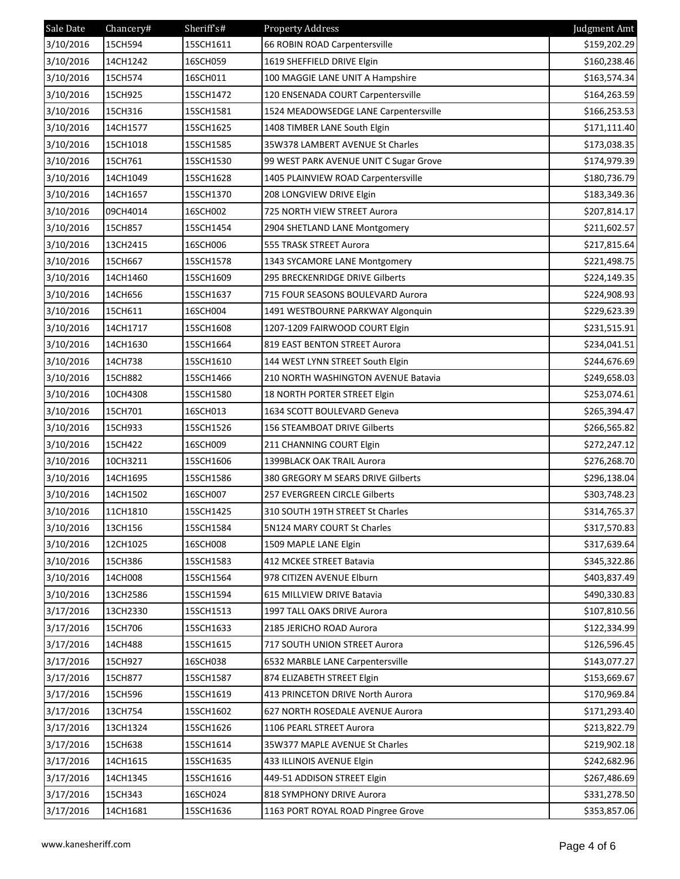| Sale Date | Chancery# | Sheriff's# | <b>Property Address</b>                | Judgment Amt |
|-----------|-----------|------------|----------------------------------------|--------------|
| 3/10/2016 | 15CH594   | 15SCH1611  | 66 ROBIN ROAD Carpentersville          | \$159,202.29 |
| 3/10/2016 | 14CH1242  | 16SCH059   | 1619 SHEFFIELD DRIVE Elgin             | \$160,238.46 |
| 3/10/2016 | 15CH574   | 16SCH011   | 100 MAGGIE LANE UNIT A Hampshire       | \$163,574.34 |
| 3/10/2016 | 15CH925   | 15SCH1472  | 120 ENSENADA COURT Carpentersville     | \$164,263.59 |
| 3/10/2016 | 15CH316   | 15SCH1581  | 1524 MEADOWSEDGE LANE Carpentersville  | \$166,253.53 |
| 3/10/2016 | 14CH1577  | 15SCH1625  | 1408 TIMBER LANE South Elgin           | \$171,111.40 |
| 3/10/2016 | 15CH1018  | 15SCH1585  | 35W378 LAMBERT AVENUE St Charles       | \$173,038.35 |
| 3/10/2016 | 15CH761   | 15SCH1530  | 99 WEST PARK AVENUE UNIT C Sugar Grove | \$174,979.39 |
| 3/10/2016 | 14CH1049  | 15SCH1628  | 1405 PLAINVIEW ROAD Carpentersville    | \$180,736.79 |
| 3/10/2016 | 14CH1657  | 15SCH1370  | 208 LONGVIEW DRIVE Elgin               | \$183,349.36 |
| 3/10/2016 | 09CH4014  | 16SCH002   | 725 NORTH VIEW STREET Aurora           | \$207,814.17 |
| 3/10/2016 | 15CH857   | 15SCH1454  | 2904 SHETLAND LANE Montgomery          | \$211,602.57 |
| 3/10/2016 | 13CH2415  | 16SCH006   | 555 TRASK STREET Aurora                | \$217,815.64 |
| 3/10/2016 | 15CH667   | 15SCH1578  | 1343 SYCAMORE LANE Montgomery          | \$221,498.75 |
| 3/10/2016 | 14CH1460  | 15SCH1609  | 295 BRECKENRIDGE DRIVE Gilberts        | \$224,149.35 |
| 3/10/2016 | 14CH656   | 15SCH1637  | 715 FOUR SEASONS BOULEVARD Aurora      | \$224,908.93 |
| 3/10/2016 | 15CH611   | 16SCH004   | 1491 WESTBOURNE PARKWAY Algonquin      | \$229,623.39 |
| 3/10/2016 | 14CH1717  | 15SCH1608  | 1207-1209 FAIRWOOD COURT Elgin         | \$231,515.91 |
| 3/10/2016 | 14CH1630  | 15SCH1664  | 819 EAST BENTON STREET Aurora          | \$234,041.51 |
| 3/10/2016 | 14CH738   | 15SCH1610  | 144 WEST LYNN STREET South Elgin       | \$244,676.69 |
| 3/10/2016 | 15CH882   | 15SCH1466  | 210 NORTH WASHINGTON AVENUE Batavia    | \$249,658.03 |
| 3/10/2016 | 10CH4308  | 15SCH1580  | 18 NORTH PORTER STREET Elgin           | \$253,074.61 |
| 3/10/2016 | 15CH701   | 16SCH013   | 1634 SCOTT BOULEVARD Geneva            | \$265,394.47 |
| 3/10/2016 | 15CH933   | 15SCH1526  | 156 STEAMBOAT DRIVE Gilberts           | \$266,565.82 |
| 3/10/2016 | 15CH422   | 16SCH009   | 211 CHANNING COURT Elgin               | \$272,247.12 |
| 3/10/2016 | 10CH3211  | 15SCH1606  | 1399BLACK OAK TRAIL Aurora             | \$276,268.70 |
| 3/10/2016 | 14CH1695  | 15SCH1586  | 380 GREGORY M SEARS DRIVE Gilberts     | \$296,138.04 |
| 3/10/2016 | 14CH1502  | 16SCH007   | 257 EVERGREEN CIRCLE Gilberts          | \$303,748.23 |
| 3/10/2016 | 11CH1810  | 15SCH1425  | 310 SOUTH 19TH STREET St Charles       | \$314,765.37 |
| 3/10/2016 | 13CH156   | 15SCH1584  | 5N124 MARY COURT St Charles            | \$317,570.83 |
| 3/10/2016 | 12CH1025  | 16SCH008   | 1509 MAPLE LANE Elgin                  | \$317,639.64 |
| 3/10/2016 | 15CH386   | 15SCH1583  | 412 MCKEE STREET Batavia               | \$345,322.86 |
| 3/10/2016 | 14CH008   | 15SCH1564  | 978 CITIZEN AVENUE Elburn              | \$403,837.49 |
| 3/10/2016 | 13CH2586  | 15SCH1594  | 615 MILLVIEW DRIVE Batavia             | \$490,330.83 |
| 3/17/2016 | 13CH2330  | 15SCH1513  | 1997 TALL OAKS DRIVE Aurora            | \$107,810.56 |
| 3/17/2016 | 15CH706   | 15SCH1633  | 2185 JERICHO ROAD Aurora               | \$122,334.99 |
| 3/17/2016 | 14CH488   | 15SCH1615  | 717 SOUTH UNION STREET Aurora          | \$126,596.45 |
| 3/17/2016 | 15CH927   | 16SCH038   | 6532 MARBLE LANE Carpentersville       | \$143,077.27 |
| 3/17/2016 | 15CH877   | 15SCH1587  | 874 ELIZABETH STREET Elgin             | \$153,669.67 |
| 3/17/2016 | 15CH596   | 15SCH1619  | 413 PRINCETON DRIVE North Aurora       | \$170,969.84 |
| 3/17/2016 | 13CH754   | 15SCH1602  | 627 NORTH ROSEDALE AVENUE Aurora       | \$171,293.40 |
| 3/17/2016 | 13CH1324  | 15SCH1626  | 1106 PEARL STREET Aurora               | \$213,822.79 |
| 3/17/2016 | 15CH638   | 15SCH1614  | 35W377 MAPLE AVENUE St Charles         | \$219,902.18 |
| 3/17/2016 | 14CH1615  | 15SCH1635  | 433 ILLINOIS AVENUE Elgin              | \$242,682.96 |
| 3/17/2016 | 14CH1345  | 15SCH1616  | 449-51 ADDISON STREET Elgin            | \$267,486.69 |
| 3/17/2016 | 15CH343   | 16SCH024   | 818 SYMPHONY DRIVE Aurora              | \$331,278.50 |
| 3/17/2016 | 14CH1681  | 15SCH1636  | 1163 PORT ROYAL ROAD Pingree Grove     | \$353,857.06 |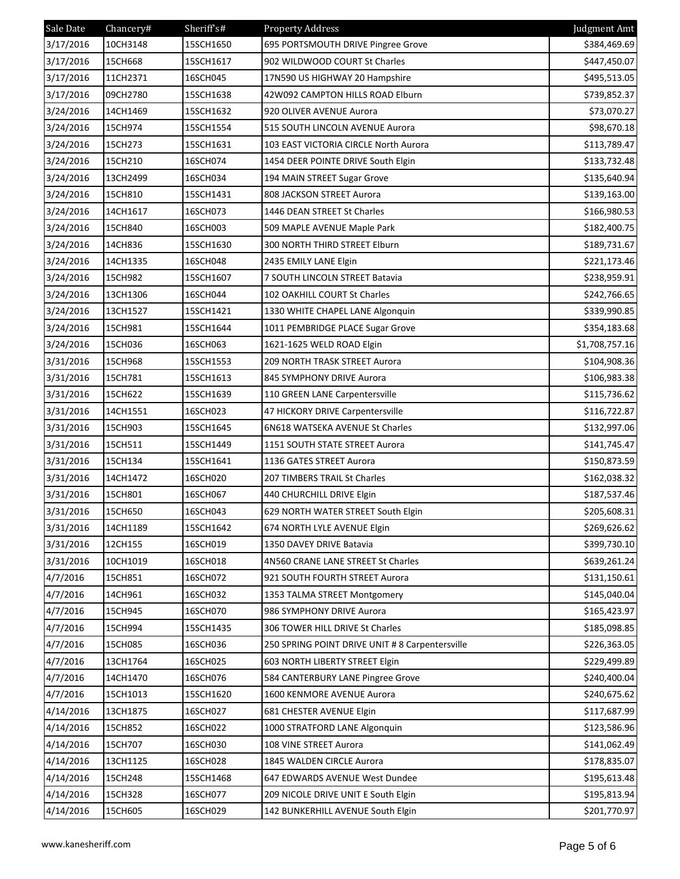| Sale Date | Chancery# | Sheriff <sub>s#</sub> | <b>Property Address</b>                         | Judgment Amt   |
|-----------|-----------|-----------------------|-------------------------------------------------|----------------|
| 3/17/2016 | 10CH3148  | 15SCH1650             | 695 PORTSMOUTH DRIVE Pingree Grove              | \$384,469.69   |
| 3/17/2016 | 15CH668   | 15SCH1617             | 902 WILDWOOD COURT St Charles                   | \$447,450.07   |
| 3/17/2016 | 11CH2371  | 16SCH045              | 17N590 US HIGHWAY 20 Hampshire                  | \$495,513.05   |
| 3/17/2016 | 09CH2780  | 15SCH1638             | 42W092 CAMPTON HILLS ROAD Elburn                | \$739,852.37   |
| 3/24/2016 | 14CH1469  | 15SCH1632             | 920 OLIVER AVENUE Aurora                        | \$73,070.27    |
| 3/24/2016 | 15CH974   | 15SCH1554             | 515 SOUTH LINCOLN AVENUE Aurora                 | \$98,670.18    |
| 3/24/2016 | 15CH273   | 15SCH1631             | 103 EAST VICTORIA CIRCLE North Aurora           | \$113,789.47   |
| 3/24/2016 | 15CH210   | 16SCH074              | 1454 DEER POINTE DRIVE South Elgin              | \$133,732.48   |
| 3/24/2016 | 13CH2499  | 16SCH034              | 194 MAIN STREET Sugar Grove                     | \$135,640.94   |
| 3/24/2016 | 15CH810   | 15SCH1431             | 808 JACKSON STREET Aurora                       | \$139,163.00   |
| 3/24/2016 | 14CH1617  | 16SCH073              | 1446 DEAN STREET St Charles                     | \$166,980.53   |
| 3/24/2016 | 15CH840   | 16SCH003              | 509 MAPLE AVENUE Maple Park                     | \$182,400.75   |
| 3/24/2016 | 14CH836   | 15SCH1630             | 300 NORTH THIRD STREET Elburn                   | \$189,731.67   |
| 3/24/2016 | 14CH1335  | 16SCH048              | 2435 EMILY LANE Elgin                           | \$221,173.46   |
| 3/24/2016 | 15CH982   | 15SCH1607             | 7 SOUTH LINCOLN STREET Batavia                  | \$238,959.91   |
| 3/24/2016 | 13CH1306  | 16SCH044              | 102 OAKHILL COURT St Charles                    | \$242,766.65   |
| 3/24/2016 | 13CH1527  | 15SCH1421             | 1330 WHITE CHAPEL LANE Algonquin                | \$339,990.85   |
| 3/24/2016 | 15CH981   | 15SCH1644             | 1011 PEMBRIDGE PLACE Sugar Grove                | \$354,183.68   |
| 3/24/2016 | 15CH036   | 16SCH063              | 1621-1625 WELD ROAD Elgin                       | \$1,708,757.16 |
| 3/31/2016 | 15CH968   | 15SCH1553             | 209 NORTH TRASK STREET Aurora                   | \$104,908.36   |
| 3/31/2016 | 15CH781   | 15SCH1613             | 845 SYMPHONY DRIVE Aurora                       | \$106,983.38   |
| 3/31/2016 | 15CH622   | 15SCH1639             | 110 GREEN LANE Carpentersville                  | \$115,736.62   |
| 3/31/2016 | 14CH1551  | 16SCH023              | 47 HICKORY DRIVE Carpentersville                | \$116,722.87   |
| 3/31/2016 | 15CH903   | 15SCH1645             | 6N618 WATSEKA AVENUE St Charles                 | \$132,997.06   |
| 3/31/2016 | 15CH511   | 15SCH1449             | 1151 SOUTH STATE STREET Aurora                  | \$141,745.47   |
| 3/31/2016 | 15CH134   | 15SCH1641             | 1136 GATES STREET Aurora                        | \$150,873.59   |
| 3/31/2016 | 14CH1472  | 16SCH020              | 207 TIMBERS TRAIL St Charles                    | \$162,038.32   |
| 3/31/2016 | 15CH801   | 16SCH067              | 440 CHURCHILL DRIVE Elgin                       | \$187,537.46   |
| 3/31/2016 | 15CH650   | 16SCH043              | 629 NORTH WATER STREET South Elgin              | \$205,608.31   |
| 3/31/2016 | 14CH1189  | 15SCH1642             | 674 NORTH LYLE AVENUE Elgin                     | \$269,626.62   |
| 3/31/2016 | 12CH155   | 16SCH019              | 1350 DAVEY DRIVE Batavia                        | \$399,730.10   |
| 3/31/2016 | 10CH1019  | 16SCH018              | 4N560 CRANE LANE STREET St Charles              | \$639,261.24   |
| 4/7/2016  | 15CH851   | 16SCH072              | 921 SOUTH FOURTH STREET Aurora                  | \$131,150.61   |
| 4/7/2016  | 14CH961   | 16SCH032              | 1353 TALMA STREET Montgomery                    | \$145,040.04   |
| 4/7/2016  | 15CH945   | 16SCH070              | 986 SYMPHONY DRIVE Aurora                       | \$165,423.97   |
| 4/7/2016  | 15CH994   | 15SCH1435             | 306 TOWER HILL DRIVE St Charles                 | \$185,098.85   |
| 4/7/2016  | 15CH085   | 16SCH036              | 250 SPRING POINT DRIVE UNIT # 8 Carpentersville | \$226,363.05   |
| 4/7/2016  | 13CH1764  | 16SCH025              | 603 NORTH LIBERTY STREET Elgin                  | \$229,499.89   |
| 4/7/2016  | 14CH1470  | 16SCH076              | 584 CANTERBURY LANE Pingree Grove               | \$240,400.04   |
| 4/7/2016  | 15CH1013  | 15SCH1620             | 1600 KENMORE AVENUE Aurora                      | \$240,675.62   |
| 4/14/2016 | 13CH1875  | 16SCH027              | 681 CHESTER AVENUE Elgin                        | \$117,687.99   |
| 4/14/2016 | 15CH852   | 16SCH022              | 1000 STRATFORD LANE Algonquin                   | \$123,586.96   |
| 4/14/2016 | 15CH707   | 16SCH030              | 108 VINE STREET Aurora                          | \$141,062.49   |
| 4/14/2016 | 13CH1125  | 16SCH028              | 1845 WALDEN CIRCLE Aurora                       | \$178,835.07   |
| 4/14/2016 | 15CH248   | 15SCH1468             | 647 EDWARDS AVENUE West Dundee                  | \$195,613.48   |
| 4/14/2016 | 15CH328   | 16SCH077              | 209 NICOLE DRIVE UNIT E South Elgin             | \$195,813.94   |
| 4/14/2016 | 15CH605   | 16SCH029              | 142 BUNKERHILL AVENUE South Elgin               | \$201,770.97   |